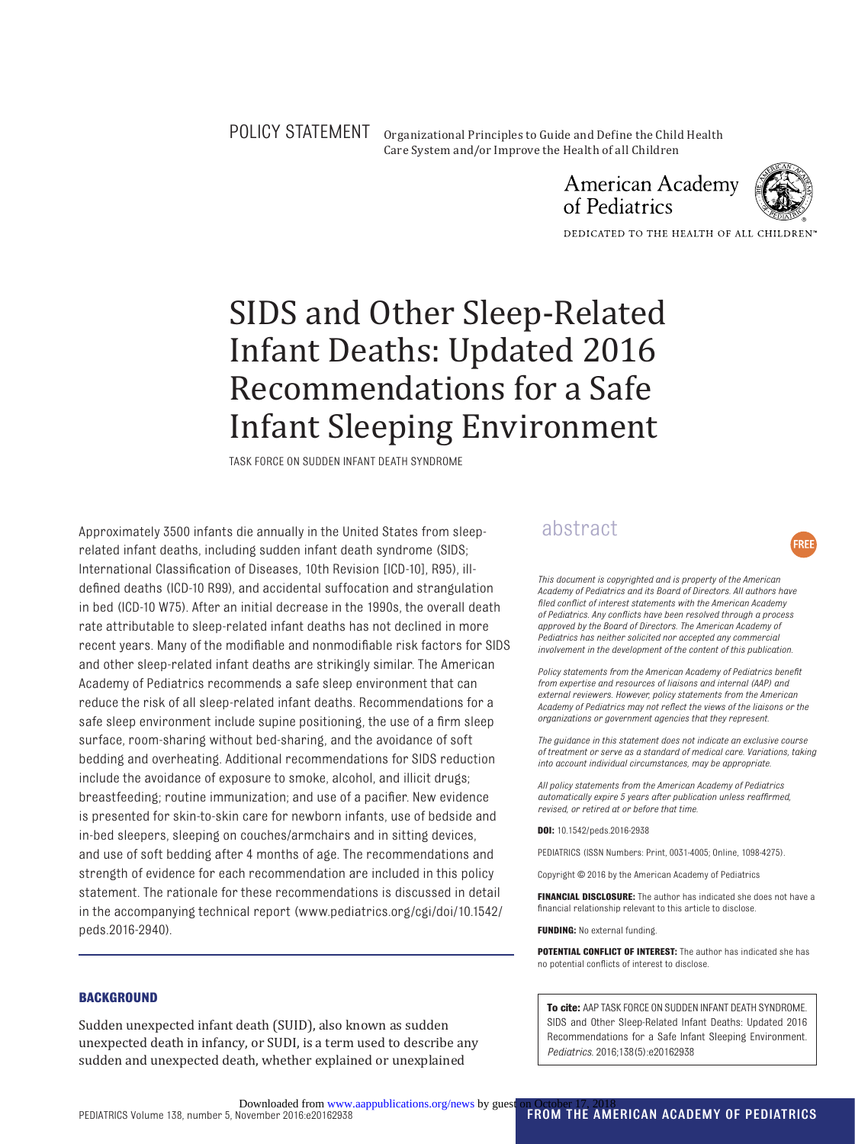POLICY STATEMENT Organizational Principles to Guide and Define the Child Health Care System and/or Improve the Health of all Children





**FREE** 

DEDICATED TO THE HEALTH OF ALL CHILDREN

## SIDS and Other Sleep-Related Infant Deaths: Updated 2016 Recommendations for a Safe Infant Sleeping Environment

TASK FORCE ON SUDDEN INFANT DEATH SYNDROME

Approximately 3500 infants die annually in the United States from sleep- $a$ bstract related infant deaths, including sudden infant death syndrome (SIDS; International Classification of Diseases, 10th Revision [ICD-10], R95), illdefined deaths (ICD-10 R99), and accidental suffocation and strangulation in bed (ICD-10 W75). After an initial decrease in the 1990s, the overall death rate attributable to sleep-related infant deaths has not declined in more recent years. Many of the modifiable and nonmodifiable risk factors for SIDS and other sleep-related infant deaths are strikingly similar. The American Academy of Pediatrics recommends a safe sleep environment that can reduce the risk of all sleep-related infant deaths. Recommendations for a safe sleep environment include supine positioning, the use of a firm sleep surface, room-sharing without bed-sharing, and the avoidance of soft bedding and overheating. Additional recommendations for SIDS reduction include the avoidance of exposure to smoke, alcohol, and illicit drugs; breastfeeding; routine immunization; and use of a pacifier. New evidence is presented for skin-to-skin care for newborn infants, use of bedside and in-bed sleepers, sleeping on couches/armchairs and in sitting devices, and use of soft bedding after 4 months of age. The recommendations and strength of evidence for each recommendation are included in this policy statement. The rationale for these recommendations is discussed in detail in the accompanying technical report (www.pediatrics.org/cgi/doi/10.1542/ peds. 2016-2940).

*This document is copyrighted and is property of the American Academy of Pediatrics and its Board of Directors. All authors have fi led confl ict of interest statements with the American Academy of Pediatrics. Any confl icts have been resolved through a process approved by the Board of Directors. The American Academy of Pediatrics has neither solicited nor accepted any commercial involvement in the development of the content of this publication.*

Policy statements from the American Academy of Pediatrics benefit *from expertise and resources of liaisons and internal (AAP) and external reviewers. However, policy statements from the American*  Academy of Pediatrics may not reflect the views of the liaisons or the *organizations or government agencies that they represent.*

*The guidance in this statement does not indicate an exclusive course of treatment or serve as a standard of medical care. Variations, taking into account individual circumstances, may be appropriate.*

*All policy statements from the American Academy of Pediatrics*  automatically expire 5 years after publication unless reaffirmed, *revised, or retired at or before that time.*

**DOI:** 10.1542/peds.2016-2938

PEDIATRICS (ISSN Numbers: Print, 0031-4005; Online, 1098-4275).

Copyright © 2016 by the American Academy of Pediatrics

**FINANCIAL DISCLOSURE:** The author has indicated she does not have a financial relationship relevant to this article to disclose.

**FUNDING:** No external funding

**POTENTIAL CONFLICT OF INTEREST:** The author has indicated she has no potential conflicts of interest to disclose.

**To cite:** AAP TASK FORCE ON SUDDEN INFANT DEATH SYNDROME. SIDS and Other Sleep-Related Infant Deaths: Updated 2016 Recommendations for a Safe Infant Sleeping Environment. *Pediatrics.* 2016;138(5):e20162938

#### **BACKGROUND**

Sudden unexpected infant death (SUID), also known as sudden unexpected death in infancy, or SUDI, is a term used to describe any sudden and unexpected death, whether explained or unexplained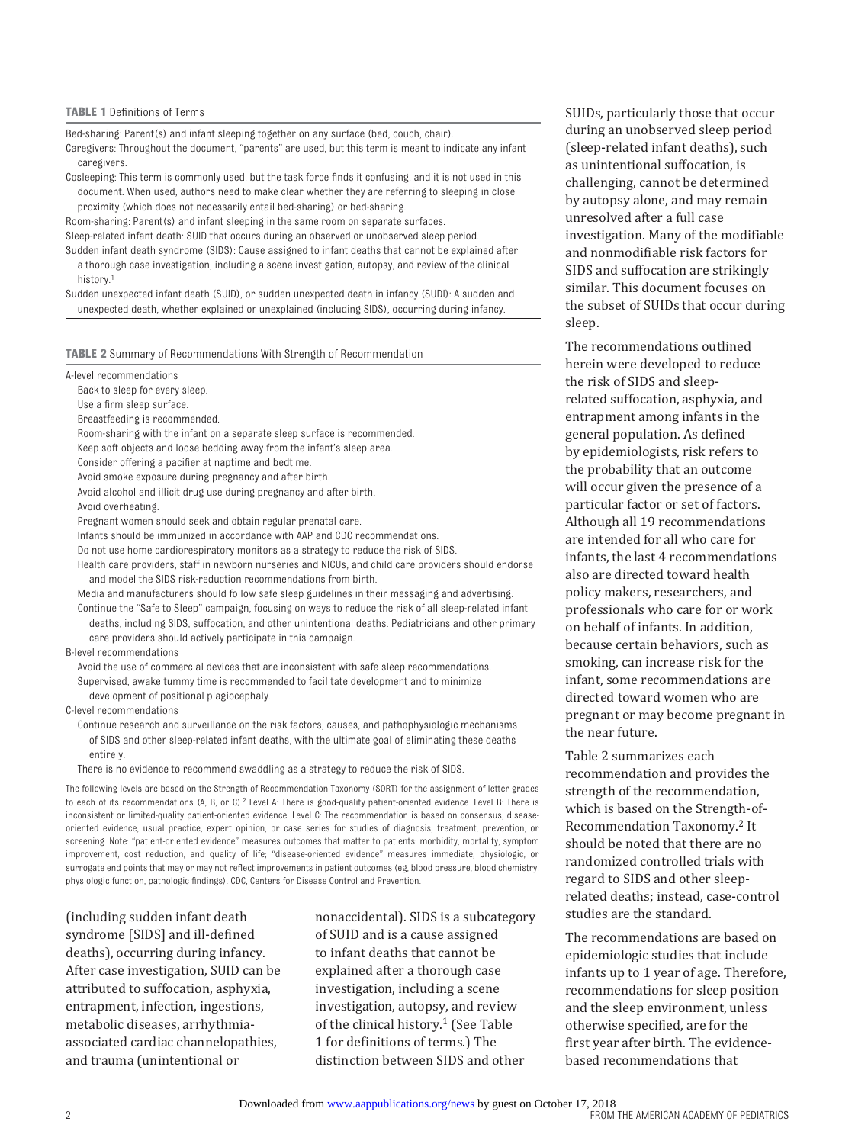#### **TABLE 1** Definitions of Terms

Bed-sharing: Parent(s) and infant sleeping together on any surface (bed, couch, chair).

Caregivers: Throughout the document, "parents" are used, but this term is meant to indicate any infant caregivers.

Cosleeping: This term is commonly used, but the task force finds it confusing, and it is not used in this document. When used, authors need to make clear whether they are referring to sleeping in close proximity (which does not necessarily entail bed-sharing) or bed-sharing.

Room-sharing: Parent(s) and infant sleeping in the same room on separate surfaces. Sleep-related infant death: SUID that occurs during an observed or unobserved sleep period.

Sudden infant death syndrome (SIDS): Cause assigned to infant deaths that cannot be explained after a thorough case investigation, including a scene investigation, autopsy, and review of the clinical history<sup>1</sup>

Sudden unexpected infant death (SUID), or sudden unexpected death in infancy (SUDI): A sudden and unexpected death, whether explained or unexplained (including SIDS), occurring during infancy.

#### **TABLE 2** Summary of Recommendations With Strength of Recommendation

#### A-level recommendations

Back to sleep for every sleep.

Use a firm sleep surface.

Breastfeeding is recommended.

Room-sharing with the infant on a separate sleep surface is recommended.

Keep soft objects and loose bedding away from the infant's sleep area.

Consider offering a pacifier at naptime and bedtime.

Avoid smoke exposure during pregnancy and after birth.

Avoid alcohol and illicit drug use during pregnancy and after birth.

Avoid overheating.

Pregnant women should seek and obtain regular prenatal care.

Infants should be immunized in accordance with AAP and CDC recommendations.

Do not use home cardiorespiratory monitors as a strategy to reduce the risk of SIDS.

 Health care providers, staff in newborn nurseries and NICUs, and child care providers should endorse and model the SIDS risk-reduction recommendations from birth.

 Media and manufacturers should follow safe sleep guidelines in their messaging and advertising. Continue the "Safe to Sleep" campaign, focusing on ways to reduce the risk of all sleep-related infant deaths, including SIDS, suffocation, and other unintentional deaths. Pediatricians and other primary care providers should actively participate in this campaign.

B-level recommendations

 Avoid the use of commercial devices that are inconsistent with safe sleep recommendations. Supervised, awake tummy time is recommended to facilitate development and to minimize development of positional plagiocephaly.

C-level recommendations

 Continue research and surveillance on the risk factors, causes, and pathophysiologic mechanisms of SIDS and other sleep-related infant deaths, with the ultimate goal of eliminating these deaths entirely.

There is no evidence to recommend swaddling as a strategy to reduce the risk of SIDS.

The following levels are based on the Strength-of-Recommendation Taxonomy (SORT) for the assignment of letter grades to each of its recommendations (A, B, or C).<sup>2</sup> Level A: There is good-quality patient-oriented evidence. Level B: There is inconsistent or limited-quality patient-oriented evidence. Level C: The recommendation is based on consensus, diseaseoriented evidence, usual practice, expert opinion, or case series for studies of diagnosis, treatment, prevention, or screening. Note: "patient-oriented evidence" measures outcomes that matter to patients: morbidity, mortality, symptom improvement, cost reduction, and quality of life; "disease-oriented evidence" measures immediate, physiologic, or surrogate end points that may or may not reflect improvements in patient outcomes (eg, blood pressure, blood chemistry, physiologic function, pathologic findings). CDC, Centers for Disease Control and Prevention.

(including sudden infant death syndrome [SIDS] and ill-defined deaths), occurring during infancy. After case investigation, SUID can be attributed to suffocation, asphyxia, entrapment, infection, ingestions, metabolic diseases, arrhythmiaassociated cardiac channelopathies, and trauma (unintentional or

nonaccidental). SIDS is a subcategory of SUID and is a cause assigned to infant deaths that cannot be explained after a thorough case investigation, including a scene investigation, autopsy, and review of the clinical history.<sup>1</sup> (See Table 1 for definitions of terms.) The distinction between SIDS and other

SUIDs, particularly those that occur during an unobserved sleep period (sleep-related infant deaths), such as unintentional suffocation, is challenging, cannot be determined by autopsy alone, and may remain unresolved after a full case investigation. Many of the modifiable and nonmodifiable risk factors for SIDS and suffocation are strikingly similar. This document focuses on the subset of SUIDs that occur during sleep.

The recommendations outlined herein were developed to reduce the risk of SIDS and sleeprelated suffocation, asphyxia, and entrapment among infants in the general population. As defined by epidemiologists, risk refers to the probability that an outcome will occur given the presence of a particular factor or set of factors. Although all 19 recommendations are intended for all who care for infants, the last 4 recommendations also are directed toward health policy makers, researchers, and professionals who care for or work on behalf of infants. In addition, because certain behaviors, such as smoking, can increase risk for the infant, some recommendations are directed toward women who are pregnant or may become pregnant in the near future.

 Table 2 summarizes each recommendation and provides the strength of the recommendation, which is based on the Strength-of-Recommendation Taxonomy.<sup>2</sup> It should be noted that there are no randomized controlled trials with regard to SIDS and other sleeprelated deaths; instead, case-control studies are the standard.

The recommendations are based on epidemiologic studies that include infants up to 1 year of age. Therefore, recommendations for sleep position and the sleep environment, unless otherwise specified, are for the first year after birth. The evidencebased recommendations that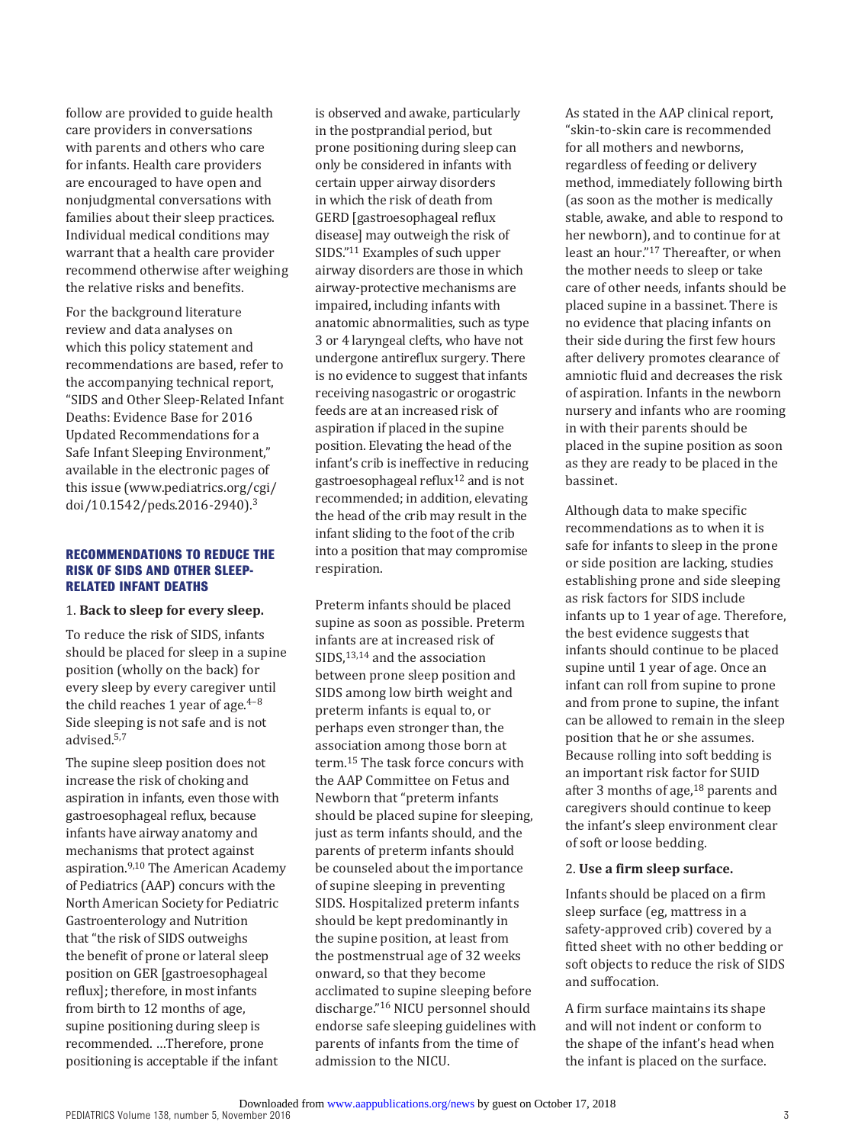follow are provided to guide health care providers in conversations with parents and others who care for infants. Health care providers are encouraged to have open and nonjudgmental conversations with families about their sleep practices. Individual medical conditions may warrant that a health care provider recommend otherwise after weighing the relative risks and benefits.

For the background literature review and data analyses on which this policy statement and recommendations are based, refer to the accompanying technical report, "SIDS and Other Sleep-Related Infant Deaths: Evidence Base for 2016 Updated Recommendations for a Safe Infant Sleeping Environment," available in the electronic pages of this issue (www.pediatrics.org/cgi/ doi/10.1542/peds.2016-2940).<sup>3</sup>

#### **RECOMMENDATIONS TO REDUCE THE RISK OF SIDS AND OTHER SLEEP-RELATED INFANT DEATHS**

1. **Back to sleep for every sleep.**

To reduce the risk of SIDS, infants should be placed for sleep in a supine position (wholly on the back) for every sleep by every caregiver until the child reaches 1 year of age. $4-8$ Side sleeping is not safe and is not advised.<sup>5,7</sup>

The supine sleep position does not increase the risk of choking and aspiration in infants, even those with gastroesophageal reflux, because infants have airway anatomy and mechanisms that protect against aspiration.<sup>9,10</sup> The American Academy of Pediatrics (AAP) concurs with the North American Society for Pediatric Gastroenterology and Nutrition that "the risk of SIDS outweighs the benefit of prone or lateral sleep position on GER [gastroesophageal reflux]; therefore, in most infants from birth to 12 months of age, supine positioning during sleep is recommended. …Therefore, prone positioning is acceptable if the infant

is observed and awake, particularly in the postprandial period, but prone positioning during sleep can only be considered in infants with certain upper airway disorders in which the risk of death from GERD [gastroesophageal reflux disease] may outweigh the risk of SIDS."<sup>11</sup> Examples of such upper airway disorders are those in which airway-protective mechanisms are impaired, including infants with anatomic abnormalities, such as type 3 or 4 laryngeal clefts, who have not undergone antireflux surgery. There is no evidence to suggest that infants receiving nasogastric or orogastric feeds are at an increased risk of aspiration if placed in the supine position. Elevating the head of the infant's crib is ineffective in reducing gastroesophageal reflux 12 and is not recommended; in addition, elevating the head of the crib may result in the infant sliding to the foot of the crib into a position that may compromise respiration.

Preterm infants should be placed supine as soon as possible. Preterm infants are at increased risk of  $SIDS<sub>13,14</sub>$  and the association between prone sleep position and SIDS among low birth weight and preterm infants is equal to, or perhaps even stronger than, the association among those born at term.<sup>15</sup> The task force concurs with the AAP Committee on Fetus and Newborn that "preterm infants should be placed supine for sleeping, just as term infants should, and the parents of preterm infants should be counseled about the importance of supine sleeping in preventing SIDS. Hospitalized preterm infants should be kept predominantly in the supine position, at least from the postmenstrual age of 32 weeks onward, so that they become acclimated to supine sleeping before discharge."<sup>16</sup> NICU personnel should endorse safe sleeping guidelines with parents of infants from the time of admission to the NICU.

As stated in the AAP clinical report, "skin-to-skin care is recommended for all mothers and newborns, regardless of feeding or delivery method, immediately following birth (as soon as the mother is medically stable, awake, and able to respond to her newborn), and to continue for at least an hour."<sup>17</sup> Thereafter, or when the mother needs to sleep or take care of other needs, infants should be placed supine in a bassinet. There is no evidence that placing infants on their side during the first few hours after delivery promotes clearance of amniotic fluid and decreases the risk of aspiration. Infants in the newborn nursery and infants who are rooming in with their parents should be placed in the supine position as soon as they are ready to be placed in the bassinet.

Although data to make specific recommendations as to when it is safe for infants to sleep in the prone or side position are lacking, studies establishing prone and side sleeping as risk factors for SIDS include infants up to 1 year of age. Therefore, the best evidence suggests that infants should continue to be placed supine until 1 year of age. Once an infant can roll from supine to prone and from prone to supine, the infant can be allowed to remain in the sleep position that he or she assumes. Because rolling into soft bedding is an important risk factor for SUID after 3 months of age,<sup>18</sup> parents and caregivers should continue to keep the infant's sleep environment clear of soft or loose bedding.

#### 2. **Use a firm sleep surface.**

Infants should be placed on a firm sleep surface (eg, mattress in a safety-approved crib) covered by a fitted sheet with no other bedding or soft objects to reduce the risk of SIDS and suffocation.

A firm surface maintains its shape and will not indent or conform to the shape of the infant's head when the infant is placed on the surface.

PEDIATRICS Volume 138 , number 5 , November 2016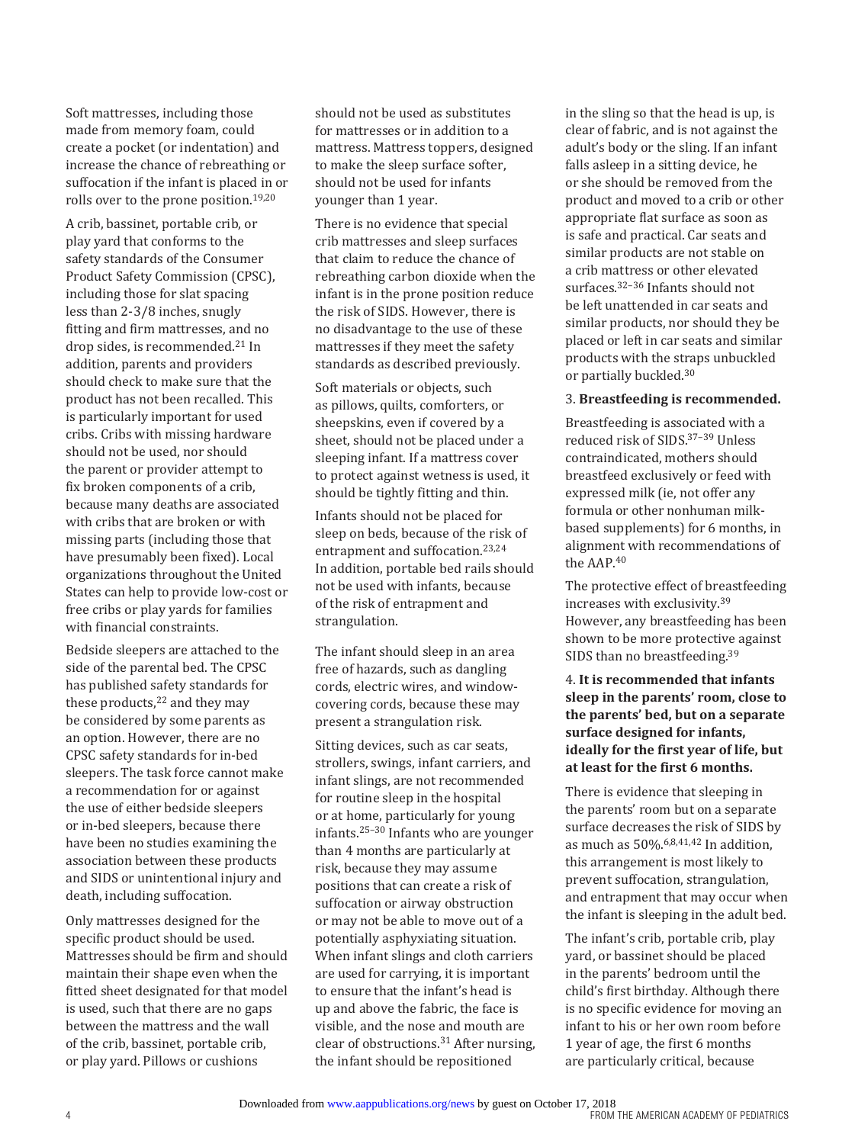Soft mattresses, including those made from memory foam, could create a pocket (or indentation) and increase the chance of rebreathing or suffocation if the infant is placed in or rolls over to the prone position.<sup>19,20</sup>

A crib, bassinet, portable crib, or play yard that conforms to the safety standards of the Consumer Product Safety Commission (CPSC), including those for slat spacing less than 2-3/8 inches, snugly fitting and firm mattresses, and no drop sides, is recommended.<sup>21</sup> In addition, parents and providers should check to make sure that the product has not been recalled. This is particularly important for used cribs. Cribs with missing hardware should not be used, nor should the parent or provider attempt to fix broken components of a crib, because many deaths are associated with cribs that are broken or with missing parts (including those that have presumably been fixed). Local organizations throughout the United States can help to provide low-cost or free cribs or play yards for families with financial constraints.

Bedside sleepers are attached to the side of the parental bed. The CPSC has published safety standards for these products,<sup>22</sup> and they may be considered by some parents as an option. However, there are no CPSC safety standards for in-bed sleepers. The task force cannot make a recommendation for or against the use of either bedside sleepers or in-bed sleepers, because there have been no studies examining the association between these products and SIDS or unintentional injury and death, including suffocation.

Only mattresses designed for the specific product should be used. Mattresses should be firm and should maintain their shape even when the fitted sheet designated for that model is used, such that there are no gaps between the mattress and the wall of the crib, bassinet, portable crib, or play yard. Pillows or cushions

should not be used as substitutes for mattresses or in addition to a mattress. Mattress toppers, designed to make the sleep surface softer, should not be used for infants younger than 1 year.

There is no evidence that special crib mattresses and sleep surfaces that claim to reduce the chance of rebreathing carbon dioxide when the infant is in the prone position reduce the risk of SIDS. However, there is no disadvantage to the use of these mattresses if they meet the safety standards as described previously.

Soft materials or objects, such as pillows, quilts, comforters, or sheepskins, even if covered by a sheet, should not be placed under a sleeping infant. If a mattress cover to protect against wetness is used, it should be tightly fitting and thin.

Infants should not be placed for sleep on beds, because of the risk of entrapment and suffocation.<sup>23,24</sup> In addition, portable bed rails should not be used with infants, because of the risk of entrapment and strangulation.

The infant should sleep in an area free of hazards, such as dangling cords, electric wires, and windowcovering cords, because these may present a strangulation risk.

Sitting devices, such as car seats, strollers, swings, infant carriers, and infant slings, are not recommended for routine sleep in the hospital or at home, particularly for young infants. 25–30 Infants who are younger than 4 months are particularly at risk, because they may assume positions that can create a risk of suffocation or airway obstruction or may not be able to move out of a potentially asphyxiating situation. When infant slings and cloth carriers are used for carrying, it is important to ensure that the infant's head is up and above the fabric, the face is visible, and the nose and mouth are clear of obstructions. 31 After nursing, the infant should be repositioned

in the sling so that the head is up, is clear of fabric, and is not against the adult's body or the sling. If an infant falls asleep in a sitting device, he or she should be removed from the product and moved to a crib or other appropriate flat surface as soon as is safe and practical. Car seats and similar products are not stable on a crib mattress or other elevated surfaces. 32–36 Infants should not be left unattended in car seats and similar products, nor should they be placed or left in car seats and similar products with the straps unbuckled or partially buckled.<sup>30</sup>

#### 3. **Breastfeeding is recommended.**

Breastfeeding is associated with a reduced risk of SIDS. 37–39 Unless contraindicated, mothers should breastfeed exclusively or feed with expressed milk (ie, not offer any formula or other nonhuman milkbased supplements) for 6 months, in alignment with recommendations of the AAP.<sup>40</sup>

The protective effect of breastfeeding increases with exclusivity. 39 However, any breastfeeding has been shown to be more protective against SIDS than no breastfeeding.<sup>39</sup>

#### 4. **It is recommended that infants sleep in the parents' room, close to the parents' bed, but on a separate surface designed for infants, ideally for the first year of life, but at least for the first 6 months.**

There is evidence that sleeping in the parents' room but on a separate surface decreases the risk of SIDS by as much as  $50\%$ .<sup>6,8,41,42</sup> In addition, this arrangement is most likely to prevent suffocation, strangulation, and entrapment that may occur when the infant is sleeping in the adult bed.

The infant's crib, portable crib, play yard, or bassinet should be placed in the parents' bedroom until the child's first birthday. Although there is no specific evidence for moving an infant to his or her own room before 1 year of age, the first 6 months are particularly critical, because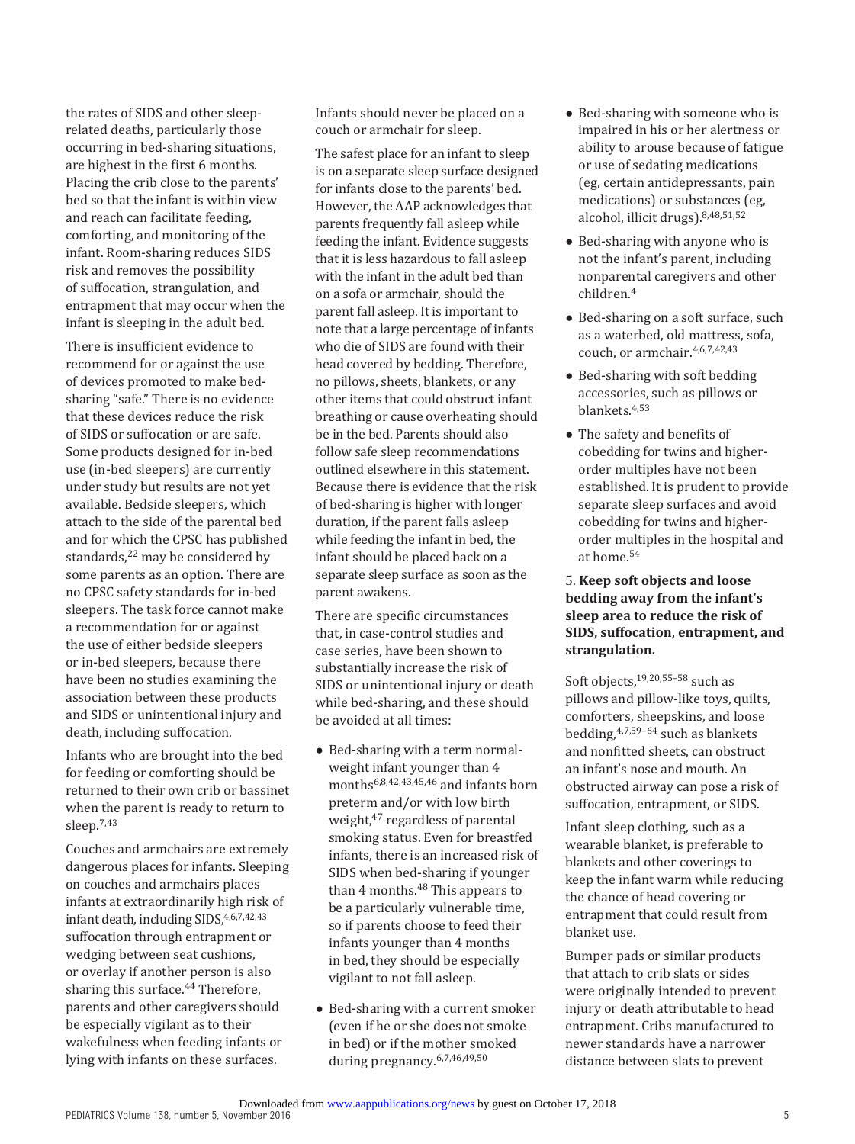the rates of SIDS and other sleeprelated deaths, particularly those occurring in bed-sharing situations, are highest in the first 6 months. Placing the crib close to the parents' bed so that the infant is within view and reach can facilitate feeding, comforting, and monitoring of the infant. Room-sharing reduces SIDS risk and removes the possibility of suffocation, strangulation, and entrapment that may occur when the infant is sleeping in the adult bed.

There is insufficient evidence to recommend for or against the use of devices promoted to make bedsharing "safe." There is no evidence that these devices reduce the risk of SIDS or suffocation or are safe. Some products designed for in-bed use (in-bed sleepers) are currently under study but results are not yet available. Bedside sleepers, which attach to the side of the parental bed and for which the CPSC has published standards,<sup>22</sup> may be considered by some parents as an option. There are no CPSC safety standards for in-bed sleepers. The task force cannot make a recommendation for or against the use of either bedside sleepers or in-bed sleepers, because there have been no studies examining the association between these products and SIDS or unintentional injury and death, including suffocation.

Infants who are brought into the bed for feeding or comforting should be returned to their own crib or bassinet when the parent is ready to return to sleep.<sup>7,43</sup>

Couches and armchairs are extremely dangerous places for infants. Sleeping on couches and armchairs places infants at extraordinarily high risk of infant death, including SIDS, 4,6,7,42,43 suffocation through entrapment or wedging between seat cushions, or overlay if another person is also sharing this surface.<sup>44</sup> Therefore, parents and other caregivers should be especially vigilant as to their wakefulness when feeding infants or lying with infants on these surfaces.

Infants should never be placed on a couch or armchair for sleep.

The safest place for an infant to sleep is on a separate sleep surface designed for infants close to the parents' bed. However, the AAP acknowledges that parents frequently fall asleep while feeding the infant. Evidence suggests that it is less hazardous to fall asleep with the infant in the adult bed than on a sofa or armchair, should the parent fall asleep. It is important to note that a large percentage of infants who die of SIDS are found with their head covered by bedding. Therefore, no pillows, sheets, blankets, or any other items that could obstruct infant breathing or cause overheating should be in the bed. Parents should also follow safe sleep recommendations outlined elsewhere in this statement. Because there is evidence that the risk of bed-sharing is higher with longer duration, if the parent falls asleep while feeding the infant in bed, the infant should be placed back on a separate sleep surface as soon as the parent awakens.

There are specific circumstances that, in case-control studies and case series, have been shown to substantially increase the risk of SIDS or unintentional injury or death while bed-sharing, and these should be avoided at all times:

- Bed-sharing with a term normalweight infant younger than 4 months  $6, 8, 42, 43, 45, 46$  and infants born preterm and/or with low birth weight, <sup>47</sup> regardless of parental smoking status. Even for breastfed infants, there is an increased risk of SIDS when bed-sharing if younger than 4 months. 48 This appears to be a particularly vulnerable time, so if parents choose to feed their infants younger than 4 months in bed, they should be especially vigilant to not fall asleep.
- Bed-sharing with a current smoker (even if he or she does not smoke in bed) or if the mother smoked during pregnancy.<sup>6,7,46,49,50</sup>
- Bed-sharing with someone who is impaired in his or her alertness or ability to arouse because of fatigue or use of sedating medications (eg, certain antidepressants, pain medications) or substances (eg, alcohol, illicit drugs). 8,48,51,52
- Bed-sharing with anyone who is not the infant's parent, including nonparental caregivers and other children. 4
- Bed-sharing on a soft surface, such as a waterbed, old mattress, sofa, couch, or armchair. 4,6,7,42,43
- Bed-sharing with soft bedding accessories, such as pillows or blankets. 4,53
- The safety and benefits of cobedding for twins and higherorder multiples have not been established. It is prudent to provide separate sleep surfaces and avoid cobedding for twins and higherorder multiples in the hospital and at home. 54

#### 5. **Keep soft objects and loose bedding away from the infant's sleep area to reduce the risk of SIDS, suffocation, entrapment, and strangulation.**

Soft objects,  $19,20,55-58$  such as pillows and pillow-like toys, quilts, comforters, sheepskins, and loose bedding,  $4, 7, 59-64$  such as blankets and nonfitted sheets, can obstruct an infant's nose and mouth. An obstructed airway can pose a risk of suffocation, entrapment, or SIDS.

Infant sleep clothing, such as a wearable blanket, is preferable to blankets and other coverings to keep the infant warm while reducing the chance of head covering or entrapment that could result from blanket use.

Bumper pads or similar products that attach to crib slats or sides were originally intended to prevent injury or death attributable to head entrapment. Cribs manufactured to newer standards have a narrower distance between slats to prevent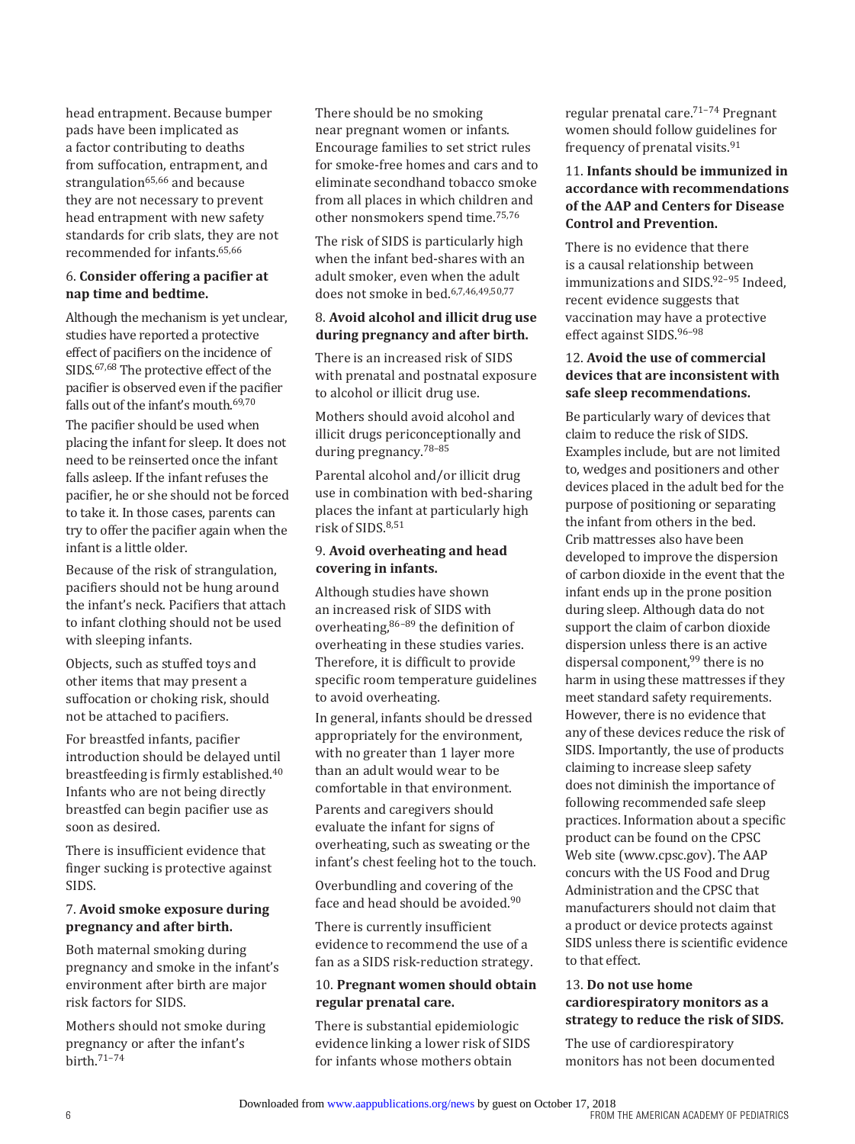head entrapment. Because bumper pads have been implicated as a factor contributing to deaths from suffocation, entrapment, and strangulation<sup>65,66</sup> and because they are not necessary to prevent head entrapment with new safety standards for crib slats, they are not recommended for infants.<sup>65,66</sup>

#### 6. **Consider offering a pacifier at nap time and bedtime.**

Although the mechanism is yet unclear, studies have reported a protective effect of pacifiers on the incidence of SIDS.<sup>67,68</sup> The protective effect of the pacifier is observed even if the pacifier falls out of the infant's mouth.<sup>69,70</sup>

The pacifier should be used when placing the infant for sleep. It does not need to be reinserted once the infant falls asleep. If the infant refuses the pacifier, he or she should not be forced to take it. In those cases, parents can try to offer the pacifier again when the infant is a little older.

Because of the risk of strangulation, pacifiers should not be hung around the infant's neck. Pacifiers that attach to infant clothing should not be used with sleeping infants.

Objects, such as stuffed toys and other items that may present a suffocation or choking risk, should not be attached to pacifiers.

For breastfed infants, pacifier introduction should be delayed until breastfeeding is firmly established. 40 Infants who are not being directly breastfed can begin pacifier use as soon as desired.

There is insufficient evidence that finger sucking is protective against SIDS.

#### 7. **Avoid smoke exposure during pregnancy and after birth.**

Both maternal smoking during pregnancy and smoke in the infant's environment after birth are major risk factors for SIDS.

Mothers should not smoke during pregnancy or after the infant's birth. 71–74

There should be no smoking near pregnant women or infants. Encourage families to set strict rules for smoke-free homes and cars and to eliminate secondhand tobacco smoke from all places in which children and other nonsmokers spend time.<sup>75,76</sup>

The risk of SIDS is particularly high when the infant bed-shares with an adult smoker, even when the adult does not smoke in bed.<sup>6,7,46,49,50,77</sup>

#### 8. **Avoid alcohol and illicit drug use during pregnancy and after birth.**

There is an increased risk of SIDS with prenatal and postnatal exposure to alcohol or illicit drug use.

Mothers should avoid alcohol and illicit drugs periconceptionally and during pregnancy.<sup>78-85</sup>

Parental alcohol and/or illicit drug use in combination with bed-sharing places the infant at particularly high risk of SIDS.<sup>8,51</sup>

#### 9. **Avoid overheating and head covering in infants.**

Although studies have shown an increased risk of SIDS with overheating, 86–89 the definition of overheating in these studies varies. Therefore, it is difficult to provide specific room temperature guidelines to avoid overheating.

In general, infants should be dressed appropriately for the environment, with no greater than 1 layer more than an adult would wear to be comfortable in that environment.

Parents and caregivers should evaluate the infant for signs of overheating, such as sweating or the infant's chest feeling hot to the touch.

Overbundling and covering of the face and head should be avoided.<sup>90</sup>

There is currently insufficient evidence to recommend the use of a fan as a SIDS risk-reduction strategy.

#### 10. **Pregnant women should obtain regular prenatal care.**

There is substantial epidemiologic evidence linking a lower risk of SIDS for infants whose mothers obtain

regular prenatal care. 71–74 Pregnant women should follow guidelines for frequency of prenatal visits.91

#### 11. **Infants should be immunized in accordance with recommendations of the AAP and Centers for Disease Control and Prevention.**

There is no evidence that there is a causal relationship between immunizations and SIDS. 92–95 Indeed, recent evidence suggests that vaccination may have a protective effect against SIDS.96–98

#### 12. **Avoid the use of commercial devices that are inconsistent with safe sleep recommendations.**

Be particularly wary of devices that claim to reduce the risk of SIDS. Examples include, but are not limited to, wedges and positioners and other devices placed in the adult bed for the purpose of positioning or separating the infant from others in the bed. Crib mattresses also have been developed to improve the dispersion of carbon dioxide in the event that the infant ends up in the prone position during sleep. Although data do not support the claim of carbon dioxide dispersion unless there is an active dispersal component, $99$  there is no harm in using these mattresses if they meet standard safety requirements. However, there is no evidence that any of these devices reduce the risk of SIDS. Importantly, the use of products claiming to increase sleep safety does not diminish the importance of following recommended safe sleep practices. Information about a specific product can be found on the CPSC Web site (www.cpsc.gov). The AAP concurs with the US Food and Drug Administration and the CPSC that manufacturers should not claim that a product or device protects against SIDS unless there is scientific evidence to that effect.

#### 13. **Do not use home cardiorespiratory monitors as a strategy to reduce the risk of SIDS.**

The use of cardiorespiratory monitors has not been documented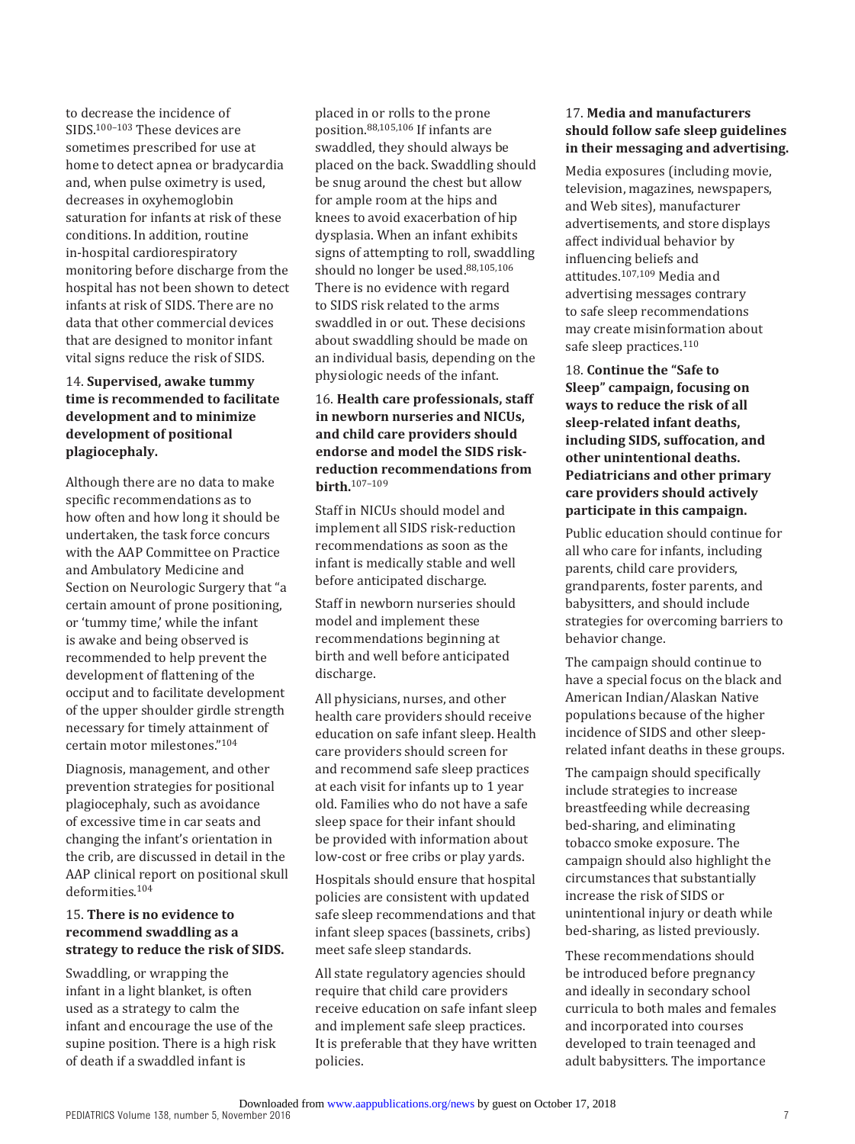to decrease the incidence of SIDS.<sup>100-103</sup> These devices are sometimes prescribed for use at home to detect apnea or bradycardia and, when pulse oximetry is used, decreases in oxyhemoglobin saturation for infants at risk of these conditions. In addition, routine in-hospital cardiorespiratory monitoring before discharge from the hospital has not been shown to detect infants at risk of SIDS. There are no data that other commercial devices that are designed to monitor infant vital signs reduce the risk of SIDS.

#### 14. **Supervised, awake tummy time is recommended to facilitate development and to minimize development of positional plagiocephaly.**

Although there are no data to make specific recommendations as to how often and how long it should be undertaken, the task force concurs with the AAP Committee on Practice and Ambulatory Medicine and Section on Neurologic Surgery that "a certain amount of prone positioning, or 'tummy time,' while the infant is awake and being observed is recommended to help prevent the development of flattening of the occiput and to facilitate development of the upper shoulder girdle strength necessary for timely attainment of certain motor milestones." 104

Diagnosis, management, and other prevention strategies for positional plagiocephaly, such as avoidance of excessive time in car seats and changing the infant's orientation in the crib, are discussed in detail in the AAP clinical report on positional skull deformities. 104

#### 15. **There is no evidence to recommend swaddling as a strategy to reduce the risk of SIDS.**

Swaddling, or wrapping the infant in a light blanket, is often used as a strategy to calm the infant and encourage the use of the supine position. There is a high risk of death if a swaddled infant is

placed in or rolls to the prone position. 88, 105, 106 If infants are swaddled, they should always be placed on the back. Swaddling should be snug around the chest but allow for ample room at the hips and knees to avoid exacerbation of hip dysplasia. When an infant exhibits signs of attempting to roll, swaddling should no longer be used.<sup>88,105,106</sup> There is no evidence with regard to SIDS risk related to the arms swaddled in or out. These decisions about swaddling should be made on an individual basis, depending on the physiologic needs of the infant.

#### 16. **Health care professionals, staff in newborn nurseries and NICUs, and child care providers should endorse and model the SIDS riskreduction recommendations from birth.**107–109

Staff in NICUs should model and implement all SIDS risk-reduction recommendations as soon as the infant is medically stable and well before anticipated discharge.

Staff in newborn nurseries should model and implement these recommendations beginning at birth and well before anticipated discharge.

All physicians, nurses, and other health care providers should receive education on safe infant sleep. Health care providers should screen for and recommend safe sleep practices at each visit for infants up to 1 year old. Families who do not have a safe sleep space for their infant should be provided with information about low-cost or free cribs or play yards.

Hospitals should ensure that hospital policies are consistent with updated safe sleep recommendations and that infant sleep spaces (bassinets, cribs) meet safe sleep standards.

All state regulatory agencies should require that child care providers receive education on safe infant sleep and implement safe sleep practices. It is preferable that they have written policies.

#### 17. **Media and manufacturers should follow safe sleep guidelines in their messaging and advertising.**

Media exposures (including movie, television, magazines, newspapers, and Web sites), manufacturer advertisements, and store displays affect individual behavior by influencing beliefs and attitudes.<sup>107,109</sup> Media and advertising messages contrary to safe sleep recommendations may create misinformation about safe sleep practices.<sup>110</sup>

18. **Continue the "Safe to Sleep" campaign, focusing on ways to reduce the risk of all sleep-related infant deaths, including SIDS, suffocation, and other unintentional deaths. Pediatricians and other primary care providers should actively participate in this campaign.**

Public education should continue for all who care for infants, including parents, child care providers, grandparents, foster parents, and babysitters, and should include strategies for overcoming barriers to behavior change.

The campaign should continue to have a special focus on the black and American Indian/Alaskan Native populations because of the higher incidence of SIDS and other sleeprelated infant deaths in these groups.

The campaign should specifically include strategies to increase breastfeeding while decreasing bed-sharing, and eliminating tobacco smoke exposure. The campaign should also highlight the circumstances that substantially increase the risk of SIDS or unintentional injury or death while bed-sharing, as listed previously.

These recommendations should be introduced before pregnancy and ideally in secondary school curricula to both males and females and incorporated into courses developed to train teenaged and adult babysitters. The importance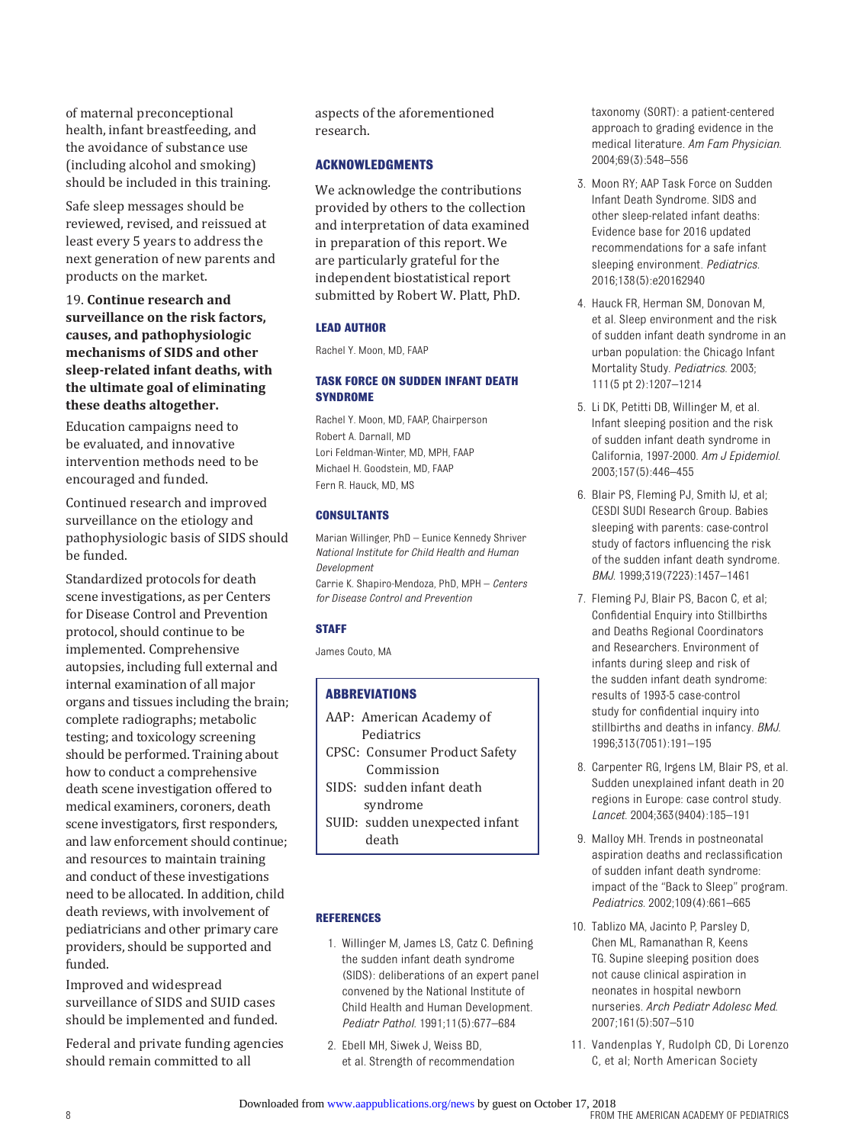of maternal preconceptional health, infant breastfeeding, and the avoidance of substance use (including alcohol and smoking) should be included in this training.

Safe sleep messages should be reviewed, revised, and reissued at least every 5 years to address the next generation of new parents and products on the market.

19. **Continue research and surveillance on the risk factors, causes, and pathophysiologic mechanisms of SIDS and other sleep-related infant deaths, with the ultimate goal of eliminating these deaths altogether.**

Education campaigns need to be evaluated, and innovative intervention methods need to be encouraged and funded.

Continued research and improved surveillance on the etiology and pathophysiologic basis of SIDS should be funded.

Standardized protocols for death scene investigations, as per Centers for Disease Control and Prevention protocol, should continue to be implemented. Comprehensive autopsies, including full external and internal examination of all major organs and tissues including the brain; complete radiographs; metabolic testing; and toxicology screening should be performed. Training about how to conduct a comprehensive death scene investigation offered to medical examiners, coroners, death scene investigators, first responders, and law enforcement should continue; and resources to maintain training and conduct of these investigations need to be allocated. In addition, child death reviews, with involvement of pediatricians and other primary care providers, should be supported and funded.

Improved and widespread surveillance of SIDS and SUID cases should be implemented and funded.

Federal and private funding agencies should remain committed to all

aspects of the aforementioned research.

#### **ACKNOWLEDGMENTS**

We acknowledge the contributions provided by others to the collection and interpretation of data examined in preparation of this report. We are particularly grateful for the independent biostatistical report submitted by Robert W. Platt, PhD.

#### **LEAD AUTHOR**

Rachel Y. Moon, MD, FAAP

#### **TASK FORCE ON SUDDEN INFANT DEATH SYNDROME**

Rachel Y. Moon, MD, FAAP, Chairperson Robert A. Darnall, MD Lori Feldman-Winter, MD, MPH, FAAP Michael H. Goodstein, MD, FAAP Fern R. Hauck, MD, MS

#### **CONSULTANTS**

Marian Willinger, PhD – Eunice Kennedy Shriver *National Institute for Child Health and Human Development* Carrie K. Shapiro-Mendoza, PhD, MPH – *Centers* 

*for Disease Control and Prevention*

#### **STAFF**

James Couto, MA

#### **ABBREVIATIONS**

- AAP: American Academy of Pediatrics
- CPSC: Consumer Product Safety Commission
- SIDS: sudden infant death syndrome
- SUID: sudden unexpected infant death

#### **REFERENCES**

- 1. Willinger M, James LS, Catz C. Defining the sudden infant death syndrome (SIDS): deliberations of an expert panel convened by the National Institute of Child Health and Human Development. *Pediatr Pathol*. 1991;11(5):677–684
- 2. Ebell MH, Siwek J, Weiss BD, et al. Strength of recommendation

taxonomy (SORT): a patient-centered approach to grading evidence in the medical literature. *Am Fam Physician*. 2004;69(3):548–556

- 3. Moon RY; AAP Task Force on Sudden Infant Death Syndrome. SIDS and other sleep-related infant deaths: Evidence base for 2016 updated recommendations for a safe infant sleeping environment. *Pediatrics*. 2016;138(5):e20162940
- 4. Hauck FR, Herman SM, Donovan M, et al. Sleep environment and the risk of sudden infant death syndrome in an urban population: the Chicago Infant Mortality Study. *Pediatrics*. 2003; 111(5 pt 2):1207–1214
- 5. Li DK, Petitti DB, Willinger M, et al. Infant sleeping position and the risk of sudden infant death syndrome in California, 1997-2000. *Am J Epidemiol*. 2003;157(5):446–455
- 6. Blair PS, Fleming PJ, Smith IJ, et al; CESDI SUDI Research Group. Babies sleeping with parents: case-control study of factors influencing the risk of the sudden infant death syndrome. *BMJ*. 1999;319(7223):1457–1461
- 7. Fleming PJ, Blair PS, Bacon C, et al; Confidential Enquiry into Stillbirths and Deaths Regional Coordinators and Researchers. Environment of infants during sleep and risk of the sudden infant death syndrome: results of 1993-5 case-control study for confidential inquiry into stillbirths and deaths in infancy. *BMJ*. 1996;313(7051):191–195
- 8. Carpenter RG, Irgens LM, Blair PS, et al. Sudden unexplained infant death in 20 regions in Europe: case control study. *Lancet*. 2004;363(9404):185–191
- 9. Malloy MH. Trends in postneonatal aspiration deaths and reclassification of sudden infant death syndrome: impact of the "Back to Sleep" program. *Pediatrics*. 2002;109(4):661–665
- 10. Tablizo MA, Jacinto P, Parsley D, Chen ML, Ramanathan R, Keens TG. Supine sleeping position does not cause clinical aspiration in neonates in hospital newborn nurseries. *Arch Pediatr Adolesc Med*. 2007;161(5):507–510
- 11. Vandenplas Y, Rudolph CD, Di Lorenzo C, et al; North American Society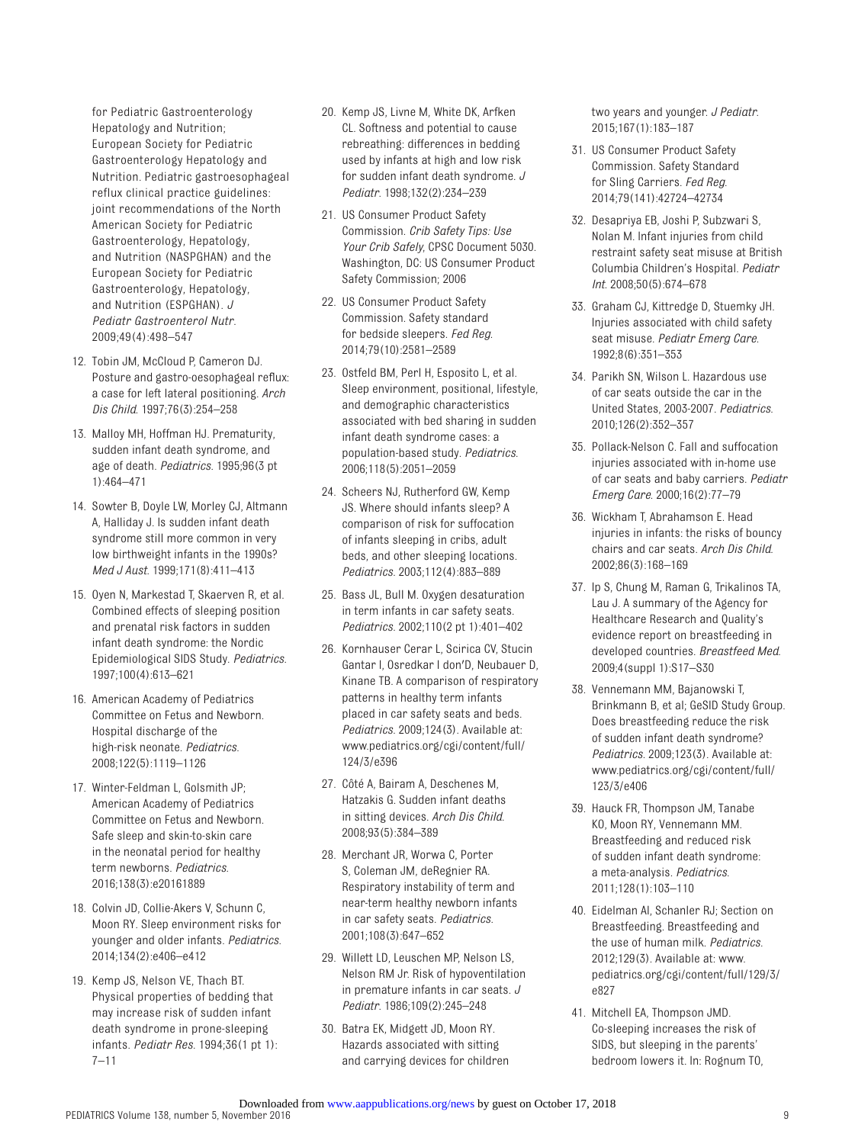for Pediatric Gastroenterology Hepatology and Nutrition; European Society for Pediatric Gastroenterology Hepatology and Nutrition. Pediatric gastroesophageal reflux clinical practice guidelines: joint recommendations of the North American Society for Pediatric Gastroenterology, Hepatology, and Nutrition (NASPGHAN) and the European Society for Pediatric Gastroenterology, Hepatology, and Nutrition (ESPGHAN). *J Pediatr Gastroenterol Nutr*. 2009;49(4):498–547

- 12. Tobin JM, McCloud P, Cameron DJ. Posture and gastro-oesophageal reflux: a case for left lateral positioning. *Arch Dis Child*. 1997;76(3):254–258
- 13. Malloy MH, Hoffman HJ. Prematurity, sudden infant death syndrome, and age of death. *Pediatrics*. 1995;96(3 pt 1):464–471
- 14. Sowter B, Doyle LW, Morley CJ, Altmann A, Halliday J. Is sudden infant death syndrome still more common in very low birthweight infants in the 1990s? *Med J Aust*. 1999;171(8):411–413
- 15. Oyen N, Markestad T, Skaerven R, et al. Combined effects of sleeping position and prenatal risk factors in sudden infant death syndrome: the Nordic Epidemiological SIDS Study. *Pediatrics*. 1997;100(4):613–621
- 16. American Academy of Pediatrics Committee on Fetus and Newborn. Hospital discharge of the high-risk neonate. *Pediatrics*. 2008;122(5):1119–1126
- 17. Winter-Feldman L, Golsmith JP; American Academy of Pediatrics Committee on Fetus and Newborn. Safe sleep and skin-to-skin care in the neonatal period for healthy term newborns. *Pediatrics*. 2016;138(3):e20161889
- 18. Colvin JD, Collie-Akers V, Schunn C, Moon RY. Sleep environment risks for younger and older infants. *Pediatrics*. 2014;134(2):e406–e412
- 19. Kemp JS, Nelson VE, Thach BT. Physical properties of bedding that may increase risk of sudden infant death syndrome in prone-sleeping infants. *Pediatr Res*. 1994;36(1 pt 1): 7–11
- 20. Kemp JS, Livne M, White DK, Arfken CL. Softness and potential to cause rebreathing: differences in bedding used by infants at high and low risk for sudden infant death syndrome. *J Pediatr*. 1998;132(2):234–239
- 21. US Consumer Product Safety Commission. *Crib Safety Tips: Use Your Crib Safely*, CPSC Document 5030. Washington, DC: US Consumer Product Safety Commission; 2006
- 22. US Consumer Product Safety Commission. Safety standard for bedside sleepers. *Fed Reg*. 2014;79(10):2581–2589
- 23. Ostfeld BM, Perl H, Esposito L, et al. Sleep environment, positional, lifestyle, and demographic characteristics associated with bed sharing in sudden infant death syndrome cases: a population-based study. *Pediatrics*. 2006;118(5):2051–2059
- 24. Scheers NJ, Rutherford GW, Kemp JS. Where should infants sleep? A comparison of risk for suffocation of infants sleeping in cribs, adult beds, and other sleeping locations. *Pediatrics*. 2003;112(4):883–889
- 25. Bass JL, Bull M. Oxygen desaturation in term infants in car safety seats. *Pediatrics*. 2002;110(2 pt 1):401–402
- 26. Kornhauser Cerar L, Scirica CV, Stucin Gantar I, Osredkar I don'D, Neubauer D, Kinane TB. A comparison of respiratory patterns in healthy term infants placed in car safety seats and beds. *Pediatrics*. 2009;124(3). Available at: www.pediatrics.org/cgi/content/full/ 124/3/e396
- 27. Côté A, Bairam A, Deschenes M, Hatzakis G. Sudden infant deaths in sitting devices. *Arch Dis Child*. 2008;93(5):384–389
- 28. Merchant JR, Worwa C, Porter S, Coleman JM, deRegnier RA. Respiratory instability of term and near-term healthy newborn infants in car safety seats. *Pediatrics*. 2001;108(3):647–652
- 29. Willett LD, Leuschen MP, Nelson LS, Nelson RM Jr. Risk of hypoventilation in premature infants in car seats. *J Pediatr*. 1986;109(2):245–248
- 30. Batra EK, Midgett JD, Moon RY. Hazards associated with sitting and carrying devices for children

two years and younger. *J Pediatr*. 2015;167(1):183–187

- 31. US Consumer Product Safety Commission. Safety Standard for Sling Carriers. *Fed Reg*. 2014;79(141):42724–42734
- 32. Desapriya EB, Joshi P, Subzwari S, Nolan M. Infant injuries from child restraint safety seat misuse at British Columbia Children's Hospital. *Pediatr Int*. 2008;50(5):674–678
- 33. Graham CJ, Kittredge D, Stuemky JH. Injuries associated with child safety seat misuse. *Pediatr Emerg Care*. 1992;8(6):351–353
- 34. Parikh SN, Wilson L. Hazardous use of car seats outside the car in the United States, 2003-2007. *Pediatrics*. 2010;126(2):352–357
- 35. Pollack-Nelson C. Fall and suffocation injuries associated with in-home use of car seats and baby carriers. *Pediatr Emerg Care*. 2000;16(2):77–79
- 36. Wickham T, Abrahamson E. Head injuries in infants: the risks of bouncy chairs and car seats. *Arch Dis Child*. 2002;86(3):168–169
- 37. Ip S, Chung M, Raman G, Trikalinos TA, Lau J. A summary of the Agency for Healthcare Research and Quality's evidence report on breastfeeding in developed countries. *Breastfeed Med*. 2009;4(suppl 1):S17–S30
- 38. Vennemann MM, Bajanowski T, Brinkmann B, et al; GeSID Study Group. Does breastfeeding reduce the risk of sudden infant death syndrome? *Pediatrics*. 2009;123(3). Available at: www.pediatrics.org/cgi/content/full/ 123/3/e406
- 39. Hauck FR, Thompson JM, Tanabe KO, Moon RY, Vennemann MM. Breastfeeding and reduced risk of sudden infant death syndrome: a meta-analysis. *Pediatrics*. 2011;128(1):103–110
- 40. Eidelman AI, Schanler RJ; Section on Breastfeeding. Breastfeeding and the use of human milk. *Pediatrics*. 2012;129(3). Available at: www. pediatrics.org/cgi/content/full/129/3/ e827
- 41. Mitchell EA, Thompson JMD. Co-sleeping increases the risk of SIDS, but sleeping in the parents' bedroom lowers it. In: Rognum TO,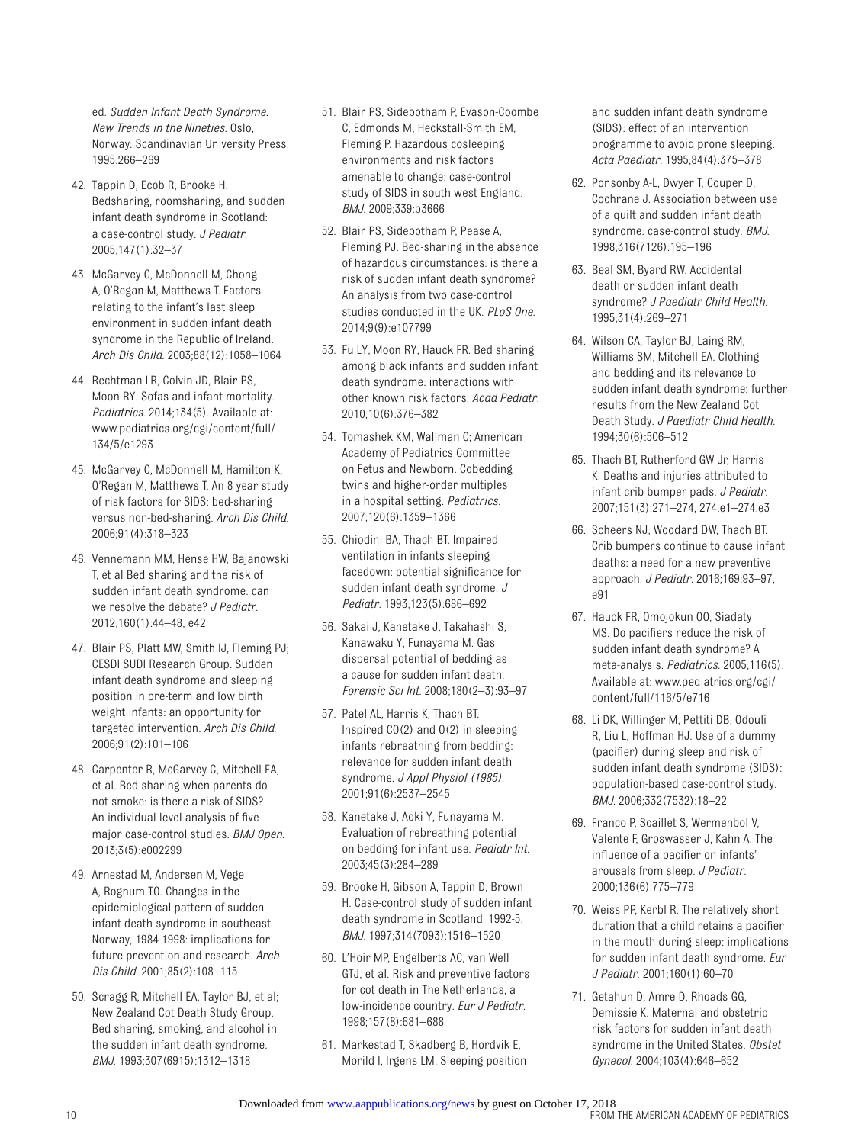ed. *Sudden Infant Death Syndrome: New Trends in the Nineties*. Oslo, Norway: Scandinavian University Press; 1995:266–269

- 42. Tappin D, Ecob R, Brooke H. Bedsharing, roomsharing, and sudden infant death syndrome in Scotland: a case-control study. *J Pediatr*. 2005;147(1):32–37
- 43. McGarvey C, McDonnell M, Chong A, O'Regan M, Matthews T. Factors relating to the infant's last sleep environment in sudden infant death syndrome in the Republic of Ireland. *Arch Dis Child*. 2003;88(12):1058–1064
- 44. Rechtman LR, Colvin JD, Blair PS, Moon RY. Sofas and infant mortality. *Pediatrics*. 2014;134(5). Available at: www.pediatrics.org/cgi/content/full/ 134/5/e1293
- 45. McGarvey C, McDonnell M, Hamilton K, O'Regan M, Matthews T. An 8 year study of risk factors for SIDS: bed-sharing versus non-bed-sharing. *Arch Dis Child*. 2006;91(4):318–323
- 46. Vennemann MM, Hense HW, Bajanowski T, et al Bed sharing and the risk of sudden infant death syndrome: can we resolve the debate? *J Pediatr*. 2012;160(1):44–48, e42
- 47. Blair PS, Platt MW, Smith IJ, Fleming PJ; CESDI SUDI Research Group. Sudden infant death syndrome and sleeping position in pre-term and low birth weight infants: an opportunity for targeted intervention. *Arch Dis Child*. 2006;91(2):101–106
- 48. Carpenter R, McGarvey C, Mitchell EA, et al. Bed sharing when parents do not smoke: is there a risk of SIDS? An individual level analysis of five major case-control studies. *BMJ Open*. 2013;3(5):e002299
- 49. Arnestad M, Andersen M, Vege A, Rognum TO. Changes in the epidemiological pattern of sudden infant death syndrome in southeast Norway, 1984-1998: implications for future prevention and research. *Arch Dis Child*. 2001;85(2):108–115
- 50. Scragg R, Mitchell EA, Taylor BJ, et al; New Zealand Cot Death Study Group. Bed sharing, smoking, and alcohol in the sudden infant death syndrome. *BMJ*. 1993;307(6915):1312–1318
- 51. Blair PS, Sidebotham P, Evason-Coombe C, Edmonds M, Heckstall-Smith EM, Fleming P. Hazardous cosleeping environments and risk factors amenable to change: case-control study of SIDS in south west England. *BMJ*. 2009;339:b3666
- 52. Blair PS, Sidebotham P, Pease A, Fleming PJ. Bed-sharing in the absence of hazardous circumstances: is there a risk of sudden infant death syndrome? An analysis from two case-control studies conducted in the UK. *PLoS One*. 2014;9(9):e107799
- 53. Fu LY, Moon RY, Hauck FR. Bed sharing among black infants and sudden infant death syndrome: interactions with other known risk factors. *Acad Pediatr*. 2010;10(6):376–382
- 54. Tomashek KM, Wallman C; American Academy of Pediatrics Committee on Fetus and Newborn. Cobedding twins and higher-order multiples in a hospital setting. *Pediatrics*. 2007;120(6):1359–1366
- 55. Chiodini BA, Thach BT. Impaired ventilation in infants sleeping facedown: potential significance for sudden infant death syndrome. *J Pediatr*. 1993;123(5):686–692
- 56. Sakai J, Kanetake J, Takahashi S, Kanawaku Y, Funayama M. Gas dispersal potential of bedding as a cause for sudden infant death. *Forensic Sci Int*. 2008;180(2–3):93–97
- 57. Patel AL, Harris K, Thach BT. Inspired CO(2) and O(2) in sleeping infants rebreathing from bedding: relevance for sudden infant death syndrome. *J Appl Physiol (1985)*. 2001;91(6):2537–2545
- 58. Kanetake J, Aoki Y, Funayama M. Evaluation of rebreathing potential on bedding for infant use. *Pediatr Int*. 2003;45(3):284–289
- 59. Brooke H, Gibson A, Tappin D, Brown H. Case-control study of sudden infant death syndrome in Scotland, 1992-5. *BMJ*. 1997;314(7093):1516–1520
- 60. L'Hoir MP, Engelberts AC, van Well GTJ, et al. Risk and preventive factors for cot death in The Netherlands, a low-incidence country. *Eur J Pediatr*. 1998;157(8):681–688
- 61. Markestad T, Skadberg B, Hordvik E, Morild I, Irgens LM. Sleeping position

and sudden infant death syndrome (SIDS): effect of an intervention programme to avoid prone sleeping. *Acta Paediatr*. 1995;84(4):375–378

- 62. Ponsonby A-L, Dwyer T, Couper D, Cochrane J. Association between use of a quilt and sudden infant death syndrome: case-control study. *BMJ*. 1998;316(7126):195–196
- 63. Beal SM, Byard RW. Accidental death or sudden infant death syndrome? *J Paediatr Child Health*. 1995;31(4):269–271
- 64. Wilson CA, Taylor BJ, Laing RM, Williams SM, Mitchell EA. Clothing and bedding and its relevance to sudden infant death syndrome: further results from the New Zealand Cot Death Study. *J Paediatr Child Health*. 1994;30(6):506–512
- 65. Thach BT, Rutherford GW Jr, Harris K. Deaths and injuries attributed to infant crib bumper pads. *J Pediatr*. 2007;151(3):271–274, 274.e1–274.e3
- 66. Scheers NJ, Woodard DW, Thach BT. Crib bumpers continue to cause infant deaths: a need for a new preventive approach. *J Pediatr*. 2016;169:93–97, e91
- 67. Hauck FR, Omojokun OO, Siadaty MS. Do pacifiers reduce the risk of sudden infant death syndrome? A meta-analysis. *Pediatrics*. 2005;116(5). Available at: www.pediatrics.org/cgi/ content/full/116/5/e716
- 68. Li DK, Willinger M, Pettiti DB, Odouli R, Liu L, Hoffman HJ. Use of a dummy (pacifier) during sleep and risk of sudden infant death syndrome (SIDS): population-based case-control study. *BMJ*. 2006;332(7532):18–22
- 69. Franco P, Scaillet S, Wermenbol V, Valente F, Groswasser J, Kahn A. The influence of a pacifier on infants' arousals from sleep. *J Pediatr*. 2000;136(6):775–779
- 70. Weiss PP, Kerbl R. The relatively short duration that a child retains a pacifier in the mouth during sleep: implications for sudden infant death syndrome. *Eur J Pediatr*. 2001;160(1):60–70
- 71. Getahun D, Amre D, Rhoads GG, Demissie K. Maternal and obstetric risk factors for sudden infant death syndrome in the United States. *Obstet Gynecol*. 2004;103(4):646–652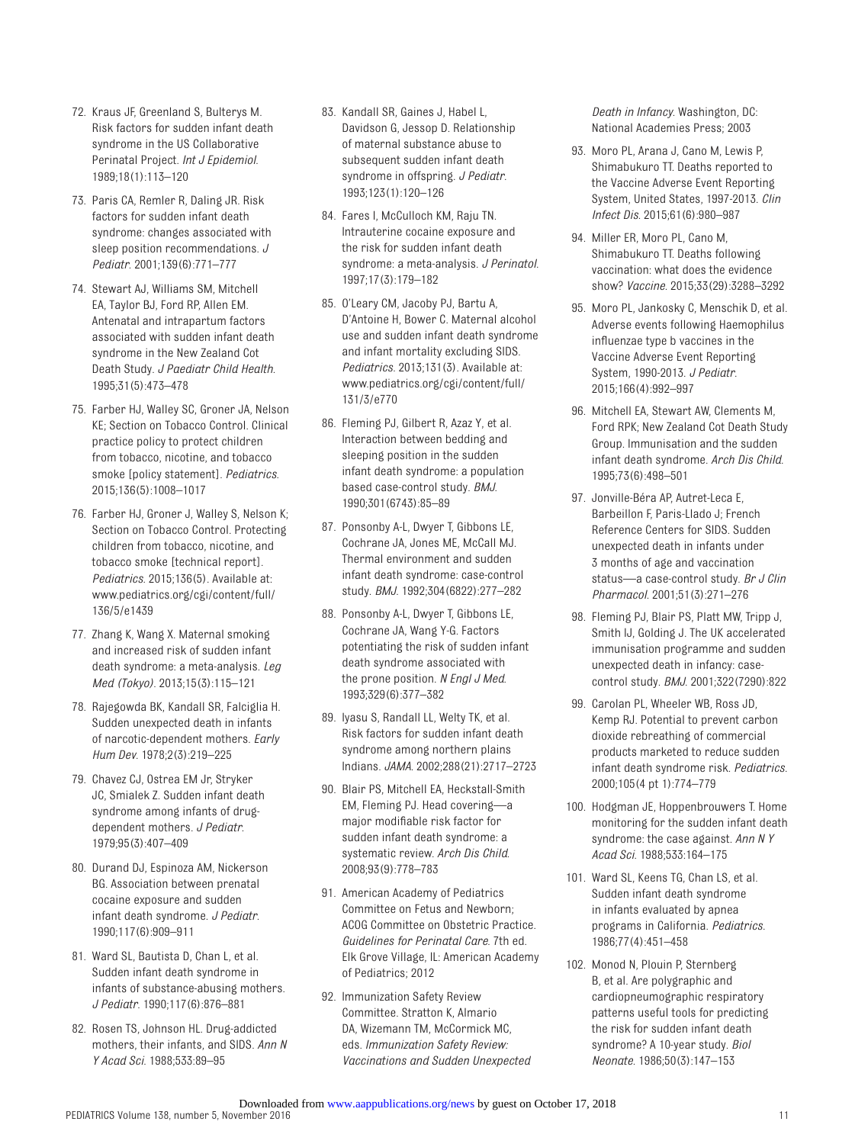- 72. Kraus JF, Greenland S, Bulterys M. Risk factors for sudden infant death syndrome in the US Collaborative Perinatal Project. *Int J Epidemiol*. 1989;18(1):113–120
- 73. Paris CA, Remler R, Daling JR. Risk factors for sudden infant death syndrome: changes associated with sleep position recommendations. *J Pediatr*. 2001;139(6):771–777
- 74. Stewart AJ, Williams SM, Mitchell EA, Taylor BJ, Ford RP, Allen EM. Antenatal and intrapartum factors associated with sudden infant death syndrome in the New Zealand Cot Death Study. *J Paediatr Child Health*. 1995;31(5):473–478
- 75. Farber HJ, Walley SC, Groner JA, Nelson KE; Section on Tobacco Control. Clinical practice policy to protect children from tobacco, nicotine, and tobacco smoke [policy statement]. *Pediatrics*. 2015;136(5):1008–1017
- 76. Farber HJ, Groner J, Walley S, Nelson K; Section on Tobacco Control. Protecting children from tobacco, nicotine, and tobacco smoke [technical report]. *Pediatrics*. 2015;136(5). Available at: www.pediatrics.org/cgi/content/full/ 136/5/e1439
- 77. Zhang K, Wang X. Maternal smoking and increased risk of sudden infant death syndrome: a meta-analysis. *Leg Med (Tokyo)*. 2013;15(3):115–121
- 78. Rajegowda BK, Kandall SR, Falciglia H. Sudden unexpected death in infants of narcotic-dependent mothers. *Early Hum Dev*. 1978;2(3):219–225
- 79. Chavez CJ, Ostrea EM Jr, Stryker JC, Smialek Z. Sudden infant death syndrome among infants of drugdependent mothers. *J Pediatr*. 1979;95(3):407–409
- 80. Durand DJ, Espinoza AM, Nickerson BG. Association between prenatal cocaine exposure and sudden infant death syndrome. *J Pediatr*. 1990;117(6):909–911
- 81. Ward SL, Bautista D, Chan L, et al. Sudden infant death syndrome in infants of substance-abusing mothers. *J Pediatr*. 1990;117(6):876–881
- 82. Rosen TS, Johnson HL. Drug-addicted mothers, their infants, and SIDS. *Ann N Y Acad Sci*. 1988;533:89–95
- 83. Kandall SR, Gaines J, Habel L, Davidson G, Jessop D. Relationship of maternal substance abuse to subsequent sudden infant death syndrome in offspring. *J Pediatr*. 1993;123(1):120–126
- 84. Fares I, McCulloch KM, Raju TN. Intrauterine cocaine exposure and the risk for sudden infant death syndrome: a meta-analysis. *J Perinatol*. 1997;17(3):179–182
- 85. O'Leary CM, Jacoby PJ, Bartu A, D'Antoine H, Bower C. Maternal alcohol use and sudden infant death syndrome and infant mortality excluding SIDS. *Pediatrics*. 2013;131(3). Available at: www.pediatrics.org/cgi/content/full/ 131/3/e770
- 86. Fleming PJ, Gilbert R, Azaz Y, et al. Interaction between bedding and sleeping position in the sudden infant death syndrome: a population based case-control study. *BMJ*. 1990;301(6743):85–89
- 87. Ponsonby A-L, Dwyer T, Gibbons LE, Cochrane JA, Jones ME, McCall MJ. Thermal environment and sudden infant death syndrome: case-control study. *BMJ*. 1992;304(6822):277–282
- 88. Ponsonby A-L, Dwyer T, Gibbons LE, Cochrane JA, Wang Y-G. Factors potentiating the risk of sudden infant death syndrome associated with the prone position. *N Engl J Med*. 1993;329(6):377–382
- 89. Iyasu S, Randall LL, Welty TK, et al. Risk factors for sudden infant death syndrome among northern plains Indians. *JAMA*. 2002;288(21):2717–2723
- 90. Blair PS, Mitchell EA, Heckstall-Smith EM, Fleming PJ. Head covering—a major modifiable risk factor for sudden infant death syndrome: a systematic review. *Arch Dis Child*. 2008;93(9):778–783
- 91. American Academy of Pediatrics Committee on Fetus and Newborn; ACOG Committee on Obstetric Practice. *Guidelines for Perinatal Care*. 7th ed. Elk Grove Village, IL: American Academy of Pediatrics; 2012
- 92. Immunization Safety Review Committee. Stratton K, Almario DA, Wizemann TM, McCormick MC, eds. *Immunization Safety Review: Vaccinations and Sudden Unexpected*

*Death in Infancy*. Washington, DC: National Academies Press; 2003

- 93. Moro PL, Arana J, Cano M, Lewis P, Shimabukuro TT. Deaths reported to the Vaccine Adverse Event Reporting System, United States, 1997-2013. *Clin Infect Dis*. 2015;61(6):980–987
- 94. Miller ER, Moro PL, Cano M, Shimabukuro TT. Deaths following vaccination: what does the evidence show? *Vaccine*. 2015;33(29):3288–3292
- 95. Moro PL, Jankosky C, Menschik D, et al. Adverse events following Haemophilus influenzae type b vaccines in the Vaccine Adverse Event Reporting System, 1990-2013. *J Pediatr*. 2015;166(4):992–997
- 96. Mitchell EA, Stewart AW, Clements M, Ford RPK; New Zealand Cot Death Study Group. Immunisation and the sudden infant death syndrome. *Arch Dis Child*. 1995;73(6):498–501
- 97. Jonville-Béra AP, Autret-Leca E, Barbeillon F, Paris-Llado J; French Reference Centers for SIDS. Sudden unexpected death in infants under 3 months of age and vaccination status—a case-control study. *Br J Clin Pharmacol*. 2001;51(3):271–276
- 98. Fleming PJ, Blair PS, Platt MW, Tripp J, Smith IJ, Golding J. The UK accelerated immunisation programme and sudden unexpected death in infancy: casecontrol study. *BMJ*. 2001;322(7290):822
- 99. Carolan PL, Wheeler WB, Ross JD, Kemp RJ. Potential to prevent carbon dioxide rebreathing of commercial products marketed to reduce sudden infant death syndrome risk. *Pediatrics*. 2000;105(4 pt 1):774–779
- 100. Hodgman JE, Hoppenbrouwers T. Home monitoring for the sudden infant death syndrome: the case against. *Ann N Y Acad Sci*. 1988;533:164–175
- 101. Ward SL, Keens TG, Chan LS, et al. Sudden infant death syndrome in infants evaluated by apnea programs in California. *Pediatrics*. 1986;77(4):451–458
- 102. Monod N, Plouin P, Sternberg B, et al. Are polygraphic and cardiopneumographic respiratory patterns useful tools for predicting the risk for sudden infant death syndrome? A 10-year study. *Biol Neonate*. 1986;50(3):147–153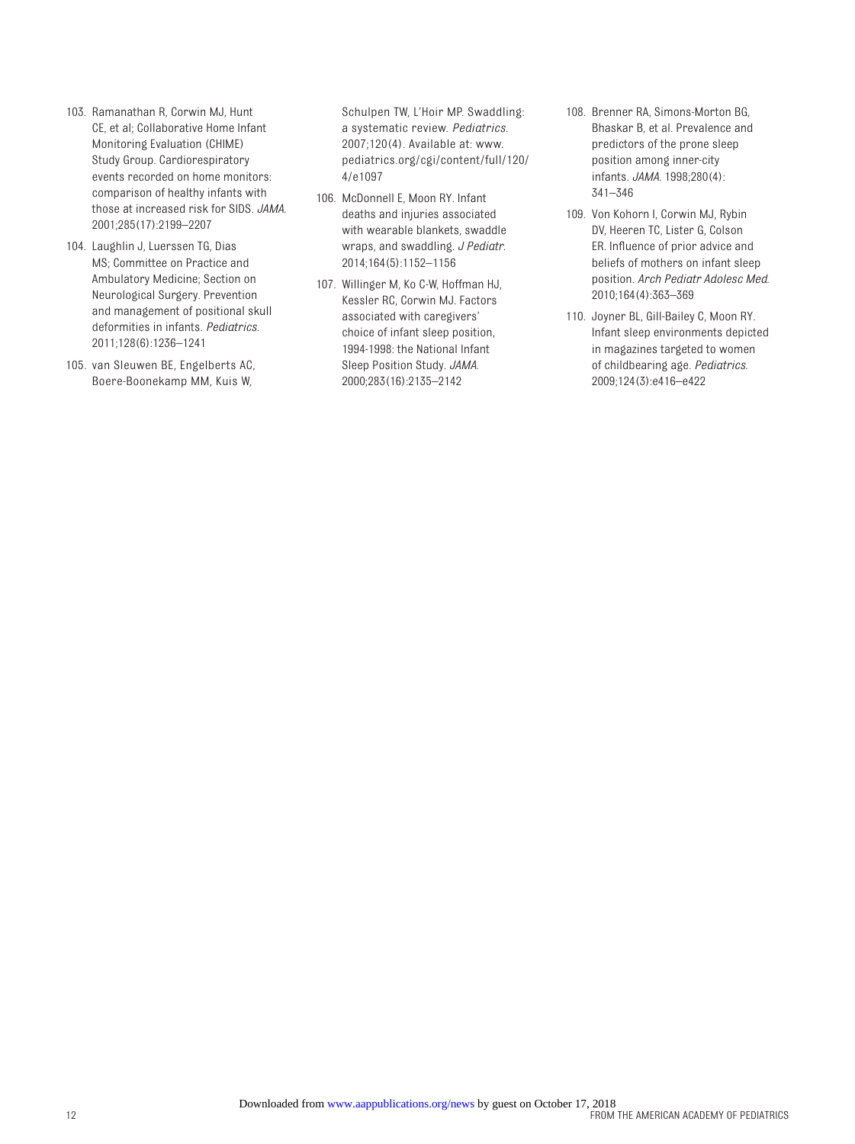- 103. Ramanathan R, Corwin MJ, Hunt CE, et al; Collaborative Home Infant Monitoring Evaluation (CHIME) Study Group. Cardiorespiratory events recorded on home monitors: comparison of healthy infants with those at increased risk for SIDS. *JAMA*. 2001;285(17):2199–2207
- 104. Laughlin J, Luerssen TG, Dias MS; Committee on Practice and Ambulatory Medicine; Section on Neurological Surgery. Prevention and management of positional skull deformities in infants. *Pediatrics*. 2011;128(6):1236–1241
- 105. van Sleuwen BE, Engelberts AC, Boere-Boonekamp MM, Kuis W,

Schulpen TW, L'Hoir MP. Swaddling: a systematic review. *Pediatrics*. 2007;120(4). Available at: www. pediatrics. org/ cgi/ content/ full/ 120/ 4/ e1097

- 106. McDonnell E, Moon RY. Infant deaths and injuries associated with wearable blankets, swaddle wraps, and swaddling. *J Pediatr*. 2014;164(5):1152–1156
- 107. Willinger M, Ko C-W, Hoffman HJ, Kessler RC, Corwin MJ. Factors associated with caregivers' choice of infant sleep position, 1994-1998: the National Infant Sleep Position Study. *JAMA*. 2000;283(16):2135–2142
- 108. Brenner RA, Simons-Morton BG, Bhaskar B, et al. Prevalence and predictors of the prone sleep position among inner-city infants. *JAMA*. 1998;280(4): 341–346
- 109. Von Kohorn I, Corwin MJ, Rybin DV, Heeren TC, Lister G, Colson ER. Influence of prior advice and beliefs of mothers on infant sleep position. *Arch Pediatr Adolesc Med*. 2010;164(4):363–369
- 110. Joyner BL, Gill-Bailey C, Moon RY. Infant sleep environments depicted in magazines targeted to women of childbearing age. *Pediatrics*. 2009;124(3):e416–e422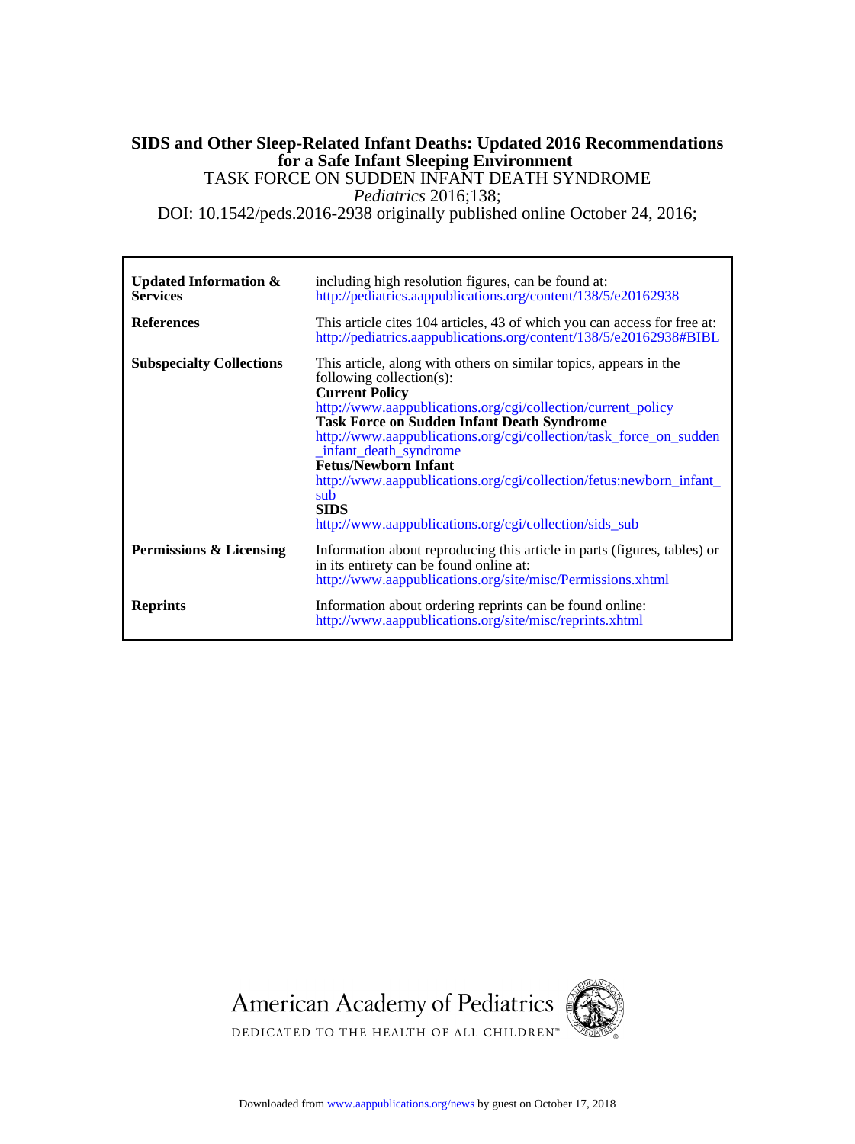### TASK FORCE ON SUDDEN INFANT DEATH SYNDROME **for a Safe Infant Sleeping Environment SIDS and Other Sleep-Related Infant Deaths: Updated 2016 Recommendations**

*Pediatrics* 2016;138;

г

DOI: 10.1542/peds.2016-2938 originally published online October 24, 2016;

| <b>Updated Information &amp;</b><br><b>Services</b> | including high resolution figures, can be found at:<br>http://pediatrics.aappublications.org/content/138/5/e20162938                                                                                                                                                                                                                                                                                                                                                                                                              |
|-----------------------------------------------------|-----------------------------------------------------------------------------------------------------------------------------------------------------------------------------------------------------------------------------------------------------------------------------------------------------------------------------------------------------------------------------------------------------------------------------------------------------------------------------------------------------------------------------------|
| <b>References</b>                                   | This article cites 104 articles, 43 of which you can access for free at:<br>http://pediatrics.aappublications.org/content/138/5/e20162938#BIBL                                                                                                                                                                                                                                                                                                                                                                                    |
| <b>Subspecialty Collections</b>                     | This article, along with others on similar topics, appears in the<br>following collection(s):<br><b>Current Policy</b><br>http://www.aappublications.org/cgi/collection/current_policy<br><b>Task Force on Sudden Infant Death Syndrome</b><br>http://www.aappublications.org/cgi/collection/task_force_on_sudden<br>_infant_death_syndrome<br><b>Fetus/Newborn Infant</b><br>http://www.aappublications.org/cgi/collection/fetus:newborn_infant_<br>sub<br><b>SIDS</b><br>http://www.aappublications.org/cgi/collection/sids_sub |
| Permissions & Licensing                             | Information about reproducing this article in parts (figures, tables) or<br>in its entirety can be found online at:<br>http://www.aappublications.org/site/misc/Permissions.xhtml                                                                                                                                                                                                                                                                                                                                                 |
| <b>Reprints</b>                                     | Information about ordering reprints can be found online:<br>http://www.aappublications.org/site/misc/reprints.xhtml                                                                                                                                                                                                                                                                                                                                                                                                               |